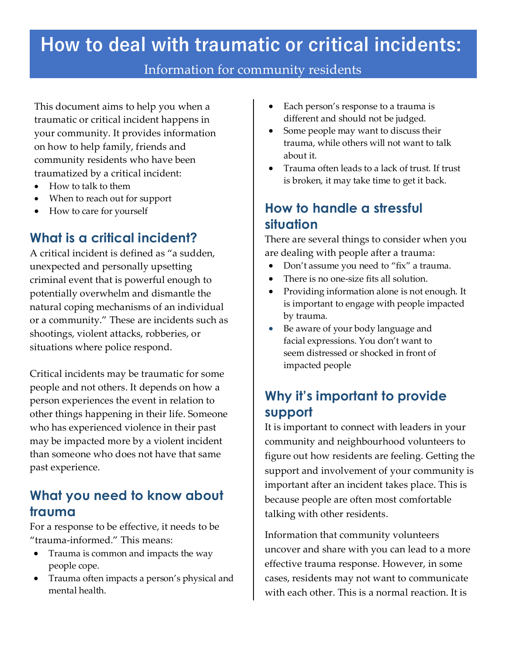# **How to deal with traumatic or critical incidents:**

#### Information for community residents

This document aims to help you when a traumatic or critical incident happens in your community. It provides information on how to help family, friends and community residents who have been traumatized by a critical incident:

- How to talk to them
- When to reach out for support
- How to care for yourself

#### **What is a critical incident?**

A critical incident is defined as "a sudden, unexpected and personally upsetting criminal event that is powerful enough to potentially overwhelm and dismantle the natural coping mechanisms of an individual or a community." These are incidents such as shootings, violent attacks, robberies, or situations where police respond.

Critical incidents may be traumatic for some people and not others. It depends on how a person experiences the event in relation to other things happening in their life. Someone who has experienced violence in their past may be impacted more by a violent incident than someone who does not have that same past experience.

#### **What you need to know about trauma**

For a response to be effective, it needs to be "trauma-informed." This means:

- Trauma is common and impacts the way people cope.
- Trauma often impacts a person's physical and mental health.
- Each person's response to a trauma is different and should not be judged.
- Some people may want to discuss their trauma, while others will not want to talk about it.
- Trauma often leads to a lack of trust. If trust is broken, it may take time to get it back.

### **How to handle a stressful situation**

There are several things to consider when you are dealing with people after a trauma:

- Don't assume you need to "fix" a trauma.
- There is no one-size fits all solution.
- Providing information alone is not enough. It is important to engage with people impacted by trauma.
- Be aware of your body language and facial expressions. You don't want to seem distressed or shocked in front of impacted people

# **Why it's important to provide support**

It is important to connect with leaders in your community and neighbourhood volunteers to figure out how residents are feeling. Getting the support and involvement of your community is important after an incident takes place. This is because people are often most comfortable talking with other residents.

Information that community volunteers uncover and share with you can lead to a more effective trauma response. However, in some cases, residents may not want to communicate with each other. This is a normal reaction. It is